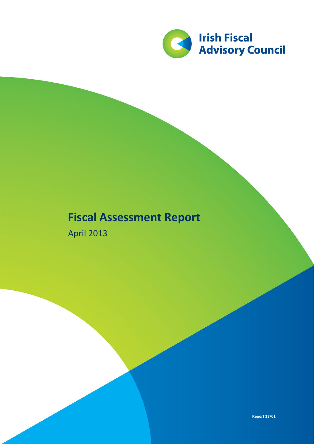

## **Fiscal Assessment Report**

April 2013

**Report 13/01**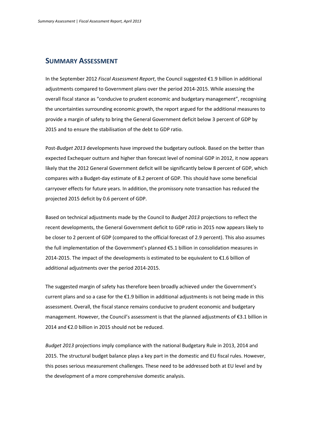## **SUMMARY ASSESSMENT**

In the September 2012 *Fiscal Assessment Report*, the Council suggested €1.9 billion in additional adjustments compared to Government plans over the period 2014-2015. While assessing the overall fiscal stance as "conducive to prudent economic and budgetary management", recognising the uncertainties surrounding economic growth, the report argued for the additional measures to provide a margin of safety to bring the General Government deficit below 3 percent of GDP by 2015 and to ensure the stabilisation of the debt to GDP ratio.

Post-*Budget 2013* developments have improved the budgetary outlook. Based on the better than expected Exchequer outturn and higher than forecast level of nominal GDP in 2012, it now appears likely that the 2012 General Government deficit will be significantly below 8 percent of GDP, which compares with a Budget-day estimate of 8.2 percent of GDP. This should have some beneficial carryover effects for future years. In addition, the promissory note transaction has reduced the projected 2015 deficit by 0.6 percent of GDP.

Based on technical adjustments made by the Council to *Budget 2013* projections to reflect the recent developments, the General Government deficit to GDP ratio in 2015 now appears likely to be closer to 2 percent of GDP (compared to the official forecast of 2.9 percent). This also assumes the full implementation of the Government's planned €5.1 billion in consolidation measures in 2014-2015. The impact of the developments is estimated to be equivalent to €1.6 billion of additional adjustments over the period 2014-2015.

The suggested margin of safety has therefore been broadly achieved under the Government's current plans and so a case for the €1.9 billion in additional adjustments is not being made in this assessment. Overall, the fiscal stance remains conducive to prudent economic and budgetary management. However, the Council's assessment is that the planned adjustments of €3.1 billion in 2014 and €2.0 billion in 2015 should not be reduced.

*Budget 2013* projections imply compliance with the national Budgetary Rule in 2013, 2014 and 2015. The structural budget balance plays a key part in the domestic and EU fiscal rules. However, this poses serious measurement challenges. These need to be addressed both at EU level and by the development of a more comprehensive domestic analysis.